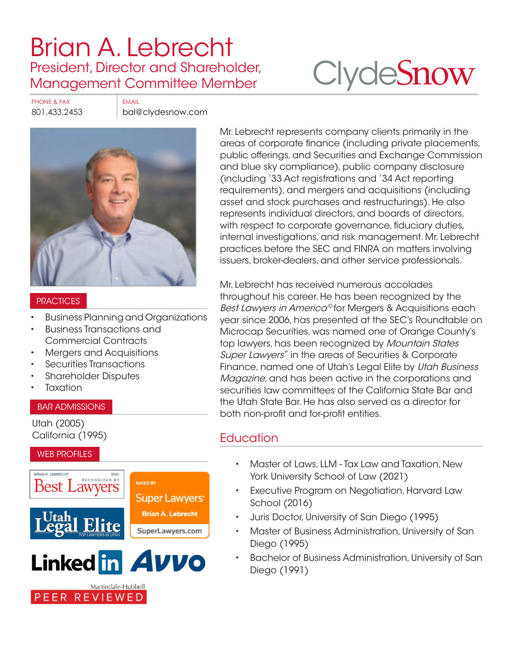## [Brian A. Lebrecht](https://www.clydesnow.com/attorneys/19-Brian-A-Lebrecht) President, Director and Shareholder, Management Committee Member

# **Clyde[Snow](http://www.clydesnow.com)**

PHONE & FAX EMAIL

801.433.2453 bal@clydesnow.com



### **PRACTICES**

- Business Planning and Organizations
- Business Transactions and Commercial Contracts
- Mergers and Acquisitions
- Securities Transactions
- Shareholder Disputes
- **Taxation**

#### BAR ADMISSIONS

Utah (2005) California (1995)

#### WEB PROFILES





Martindale-Hubbell<sup>®</sup>

PEER REVIEWED



Mr. Lebrecht has received numerous accolades throughout his career. He has been recognized by the Best Lawyers in America<sup>®</sup> for Mergers & Acquisitions each year since 2006, has presented at the SEC's Roundtable on Microcap Securities, was named one of Orange County's top lawyers, has been recognized by Mountain States Super Lawyers<sup>®</sup> in the areas of Securities & Corporate Finance, named one of Utah's Legal Elite by Utah Business Magazine, and has been active in the corporations and securities law committees of the California State Bar and the Utah State Bar. He has also served as a director for both non-profit and for-profit entities.

## **Education**

- Master of Laws, LLM Tax Law and Taxation, New York University School of Law (2021)
- Executive Program on Negotiation, Harvard Law School (2016)
- Juris Doctor, University of San Diego (1995)
- Master of Business Administration, University of San Diego (1995)
- Bachelor of Business Administration, University of San Diego (1991)